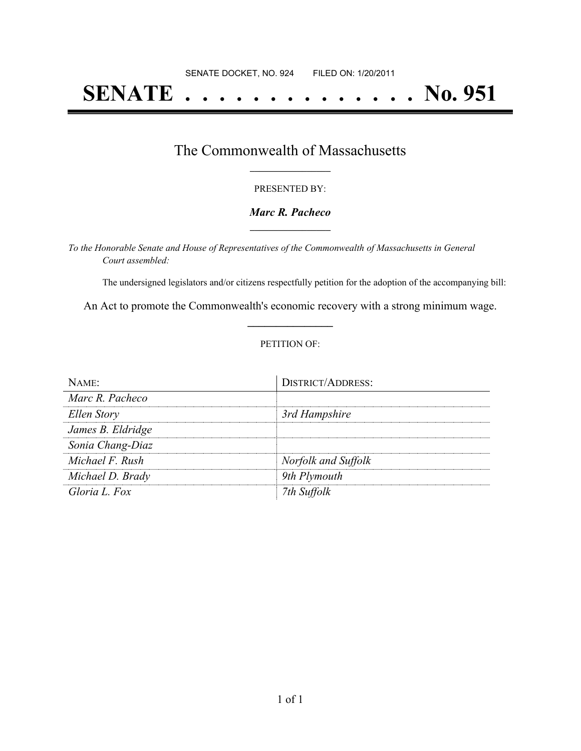# **SENATE . . . . . . . . . . . . . . No. 951**

### The Commonwealth of Massachusetts **\_\_\_\_\_\_\_\_\_\_\_\_\_\_\_\_\_**

#### PRESENTED BY:

#### *Marc R. Pacheco* **\_\_\_\_\_\_\_\_\_\_\_\_\_\_\_\_\_**

*To the Honorable Senate and House of Representatives of the Commonwealth of Massachusetts in General Court assembled:*

The undersigned legislators and/or citizens respectfully petition for the adoption of the accompanying bill:

An Act to promote the Commonwealth's economic recovery with a strong minimum wage. **\_\_\_\_\_\_\_\_\_\_\_\_\_\_\_**

#### PETITION OF:

| $NAME$ :          | <b>DISTRICT/ADDRESS:</b> |
|-------------------|--------------------------|
| Marc R. Pacheco   |                          |
| Ellen Story       | 3rd Hampshire            |
| James B. Eldridge |                          |
| Sonia Chang-Diaz  |                          |
| Michael F. Rush   | Norfolk and Suffolk      |
| Michael D. Brady  | 9th Plymouth             |
| Gloria L. Fox     | 7th Suffolk              |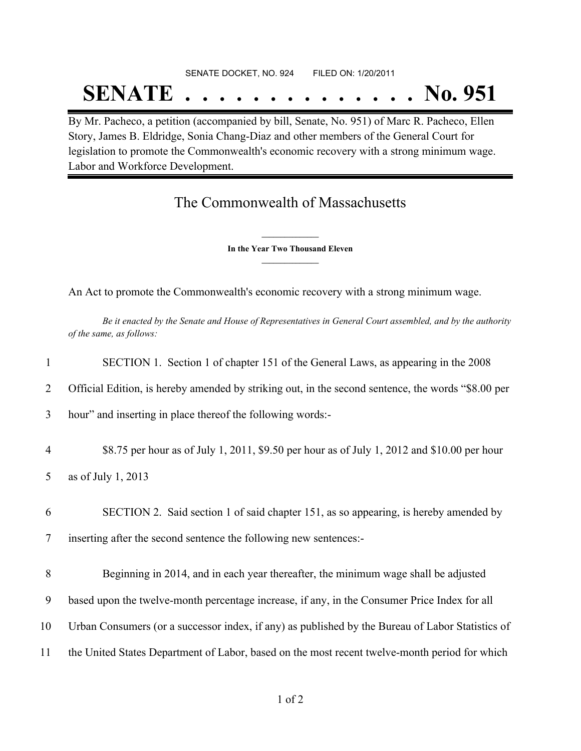## SENATE DOCKET, NO. 924 FILED ON: 1/20/2011 **SENATE . . . . . . . . . . . . . . No. 951**

By Mr. Pacheco, a petition (accompanied by bill, Senate, No. 951) of Marc R. Pacheco, Ellen Story, James B. Eldridge, Sonia Chang-Diaz and other members of the General Court for legislation to promote the Commonwealth's economic recovery with a strong minimum wage. Labor and Workforce Development.

## The Commonwealth of Massachusetts

**\_\_\_\_\_\_\_\_\_\_\_\_\_\_\_ In the Year Two Thousand Eleven \_\_\_\_\_\_\_\_\_\_\_\_\_\_\_**

An Act to promote the Commonwealth's economic recovery with a strong minimum wage.

Be it enacted by the Senate and House of Representatives in General Court assembled, and by the authority *of the same, as follows:*

| 1              | SECTION 1. Section 1 of chapter 151 of the General Laws, as appearing in the 2008                  |
|----------------|----------------------------------------------------------------------------------------------------|
| 2              | Official Edition, is hereby amended by striking out, in the second sentence, the words "\$8.00 per |
| 3              | hour" and inserting in place thereof the following words:-                                         |
| $\overline{4}$ | \$8.75 per hour as of July 1, 2011, \$9.50 per hour as of July 1, 2012 and \$10.00 per hour        |
| 5              | as of July 1, 2013                                                                                 |
| 6              | SECTION 2. Said section 1 of said chapter 151, as so appearing, is hereby amended by               |
| 7              | inserting after the second sentence the following new sentences:-                                  |
| 8              | Beginning in 2014, and in each year thereafter, the minimum wage shall be adjusted                 |
| 9              | based upon the twelve-month percentage increase, if any, in the Consumer Price Index for all       |
| 10             | Urban Consumers (or a successor index, if any) as published by the Bureau of Labor Statistics of   |
| 11             | the United States Department of Labor, based on the most recent twelve-month period for which      |
|                |                                                                                                    |